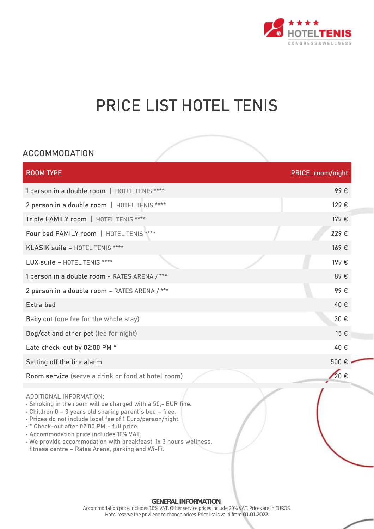

# **PRICE LIST HOTEL TENIS**

## **ACCOMMODATION**

| <b>ROOM TYPE</b>                                                                                                                                                                                                                                                                                                                                                                                                               | <b>PRICE: room/night</b> |
|--------------------------------------------------------------------------------------------------------------------------------------------------------------------------------------------------------------------------------------------------------------------------------------------------------------------------------------------------------------------------------------------------------------------------------|--------------------------|
| 1 person in a double room   HOTEL TENIS ****                                                                                                                                                                                                                                                                                                                                                                                   | 99€                      |
| 2 person in a double room   HOTEL TENIS ****                                                                                                                                                                                                                                                                                                                                                                                   | 129€                     |
| Triple FAMILY room   HOTEL TENIS ****                                                                                                                                                                                                                                                                                                                                                                                          | 179€                     |
| Four bed FAMILY room   HOTEL TENIS ****                                                                                                                                                                                                                                                                                                                                                                                        | 229€                     |
| KLASIK suite - HOTEL TENIS ****                                                                                                                                                                                                                                                                                                                                                                                                | 169€                     |
| LUX suite - HOTEL TENIS ****                                                                                                                                                                                                                                                                                                                                                                                                   | 199€                     |
| 1 person in a double room - RATES ARENA /***                                                                                                                                                                                                                                                                                                                                                                                   | 89€                      |
| 2 person in a double room - RATES ARENA /***                                                                                                                                                                                                                                                                                                                                                                                   | 99€                      |
| Extra bed                                                                                                                                                                                                                                                                                                                                                                                                                      | 40€                      |
| Baby cot (one fee for the whole stay)                                                                                                                                                                                                                                                                                                                                                                                          | 30€                      |
| Dog/cat and other pet (fee for night)                                                                                                                                                                                                                                                                                                                                                                                          | 15 €                     |
| Late check-out by 02:00 PM *                                                                                                                                                                                                                                                                                                                                                                                                   | 40€                      |
| Setting off the fire alarm                                                                                                                                                                                                                                                                                                                                                                                                     | 500 € -                  |
| Room service (serve a drink or food at hotel room)                                                                                                                                                                                                                                                                                                                                                                             | 20€                      |
| ADDITIONAL INFORMATION:<br>. Smoking in the room will be charged with a 50,- EUR fine.<br>. Children 0 - 3 years old sharing parent's bed - free.<br>- Prices do not include local fee of 1 Euro/person/night.<br>-* Check-out after 02:00 PM - full price.<br>- Accommodation price includes 10% VAT.<br>. We provide accommodation with breakfeast, 1x 3 hours wellness,<br>fitness centre - Rates Arena, parking and Wi-Fi. |                          |

**GENERAL INFORMATION**: Accommodation price includes 10% VAT. Other service prices include 20% VAT. Prices are in EUROS. Hotel reserve the privilege to change prices. Price list is valid from **01.01.2022**.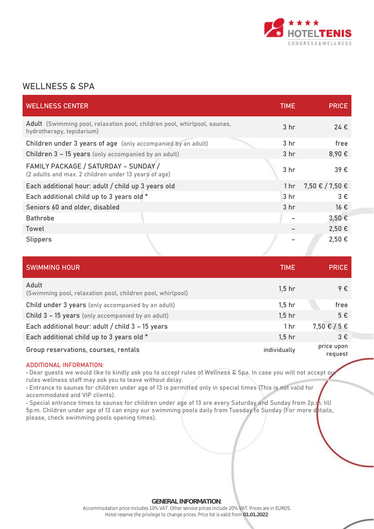

## **WELLNESS & SPA**

| <b>WELLNESS CENTER</b>                                                                                | <b>TIME</b>     | <b>PRICE</b>      |
|-------------------------------------------------------------------------------------------------------|-----------------|-------------------|
| Adult (Swimming pool, relaxation pool, children pool, whirlpool, saunas,<br>hydrotherapy, tepidarium) | 3 <sub>hr</sub> | 24€               |
| Children under 3 years of age (only accompanied by an adult)                                          | 3 <sub>hr</sub> | free              |
| Children 3 - 15 years (only accompanied by an adult)                                                  | 3 <sub>hr</sub> | 8,90€             |
| FAMILY PACKAGE / SATURDAY - SUNDAY /<br>(2 adults and max. 2 children under 13 years of age)          | 3 <sub>hr</sub> | 39€               |
| Each additional hour: adult / child up 3 years old                                                    | 1 <sub>hr</sub> | 7,50 € / 7,50 €   |
| Each additional child up to 3 years old *                                                             | 3 <sub>hr</sub> | $3 \epsilon$      |
| Seniors 60 and older, disabled                                                                        | 3 <sub>hr</sub> | $16 \text{ } \in$ |
| <b>Bathrobe</b>                                                                                       |                 | $3,50 \in$        |
| <b>Towel</b>                                                                                          |                 | 2,50€             |
| <b>Slippers</b>                                                                                       |                 | 2,50€             |

| <b>SWIMMING HOUR</b>                                                | <b>TIME</b>     | <b>PRICE</b>          |
|---------------------------------------------------------------------|-----------------|-----------------------|
| Adult<br>(Swimming pool, relaxation pool, children pool, whirlpool) | $1,5$ hr        | $9 \epsilon$          |
| Child under 3 years (only accompanied by an adult)                  | $1,5$ hr        | free                  |
| Child 3 - 15 years (only accompanied by an adult)                   | $1,5$ hr        | 5€                    |
| Each additional hour: adult / child 3 - 15 years                    | 1 <sub>hr</sub> | $7,50 \in 75 \in$     |
| Each additional child up to 3 years old *                           | $1,5$ hr        | 3E                    |
| Group reservations, courses, rentals                                | individually    | price upon<br>request |

#### **ADDITIONAL INFORMATION:**

• Dear guests we would like to kindly ask you to accept rules of Wellness & Spa. In case you will not accept our rules wellness staff may ask you to leave without delay.

• Entrance to saunas for children under age of 13 is permitted only in special times (This is not valid for accommodated and VIP clients).

• Special entrance times to saunas for children under age of 13 are every Saturday and Sunday from 2p.m. till 5p.m. Children under age of 13 can enjoy our swimming pools daily from Tuesday to Sunday (For more details, please, check swimming pools opening times).

> **GENERAL INFORMATION**: Accommodation price includes 10% VAT. Other service prices include 20% VAT. Prices are in EUROS. Hotel reserve the privilege to change prices. Price list is valid from **01.01.2022**.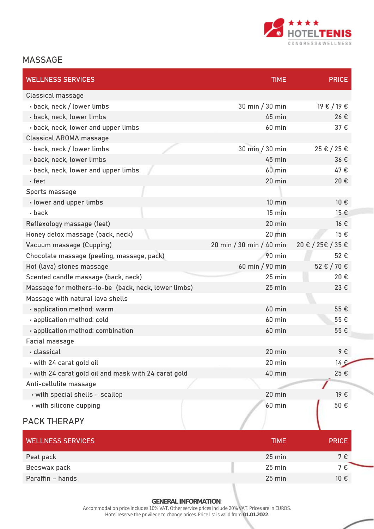

## **MASSAGE**

| <b>WELLNESS SERVICES</b>                             | <b>TIME</b>              | <b>PRICE</b>      |
|------------------------------------------------------|--------------------------|-------------------|
| Classical massage                                    |                          |                   |
| · back, neck / lower limbs                           | 30 min / 30 min          | 19 € / 19 €       |
| · back, neck, lower limbs                            | 45 min                   | 26€               |
| · back, neck, lower and upper limbs                  | <b>60 min</b>            | 37€               |
| <b>Classical AROMA massage</b>                       |                          |                   |
| · back, neck / lower limbs                           | 30 min / 30 min          | 25 € / 25 €       |
| · back, neck, lower limbs                            | 45 min                   | 36€               |
| · back, neck, lower and upper limbs                  | <b>60 min</b>            | 47€               |
| • feet                                               | 20 min                   | 20€               |
| Sports massage                                       |                          |                   |
| · lower and upper limbs                              | $10$ min                 | 10 €              |
| $\cdot$ back                                         | $15 \text{ min}$         | 15 €              |
| Reflexology massage (feet)                           | 20 min                   | $16 \text{ } \in$ |
| Honey detox massage (back, neck)                     | $20$ min                 | 15 €              |
| Vacuum massage (Cupping)                             | 20 min / 30 min / 40 min | 20 € / 25€ / 35 € |
| Chocolate massage (peeling, massage, pack)           | <b>90 min</b>            | 52€               |
| Hot (lava) stones massage                            | 60 min / 90 min          | 52 € / 70 €       |
| Scented candle massage (back, neck)                  | $25$ min                 | 20€               |
| Massage for mothers-to-be (back, neck, lower limbs)  | 25 min                   | 23€               |
| Massage with natural lava shells                     |                          |                   |
| · application method: warm                           | <b>60 min</b>            | 55€               |
| · application method: cold                           | <b>60 min</b>            | 55€               |
| · application method: combination                    | <b>60 min</b>            | 55€               |
| Facial massage                                       |                          |                   |
| • classical                                          | 20 min                   | 9€                |
| · with 24 carat gold oil                             | 20 min                   | $14 \epsilon$     |
| - with 24 carat gold oil and mask with 24 carat gold | 40 min                   | 25€               |
| Anti-cellulite massage                               |                          |                   |
| · with special shells - scallop                      | 20 min                   | 19E               |
| · with silicone cupping                              | <b>60 min</b>            | 50€               |
| <b>PACK THERAPY</b>                                  |                          |                   |

| <b>WELLNESS SERVICES</b> | <b>TIME</b>      | <b>PRICE</b>      |
|--------------------------|------------------|-------------------|
| Peat pack                | 25 min           | 7 €               |
| Beeswax pack             | $25 \text{ min}$ | 7€                |
| Paraffin - hands         | $25 \text{ min}$ | $10 \text{ } \in$ |

**GENERAL INFORMATION**:

Accommodation price includes 10% VAT. Other service prices include 20% VAT. Prices are in EUROS. Hotel reserve the privilege to change prices. Price list is valid from **01.01.2022**.